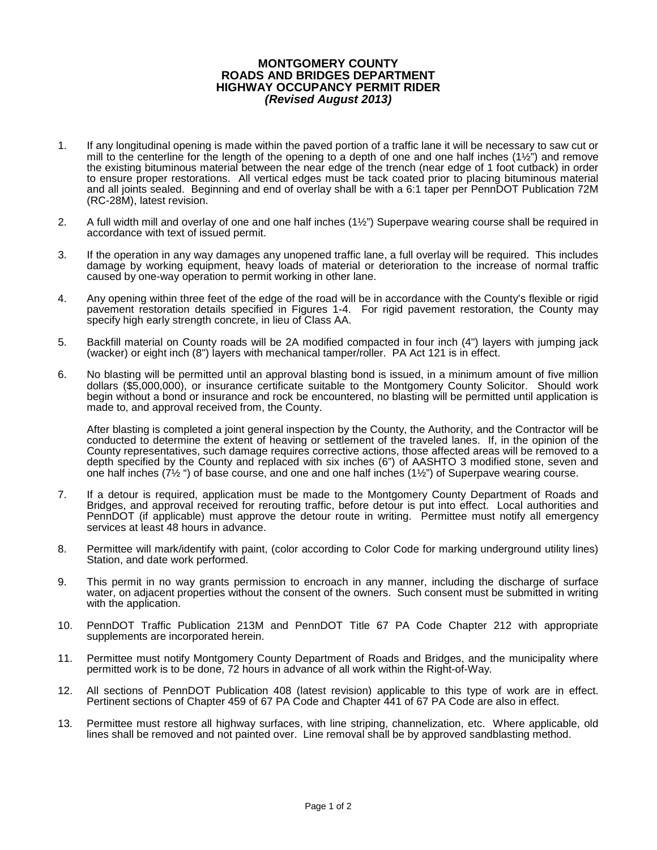## **MONTGOMERY COUNTY ROADS AND BRIDGES DEPARTMENT HIGHWAY OCCUPANCY PERMIT RIDER** *(Revised August 2013)*

- 1. If any longitudinal opening is made within the paved portion of a traffic lane it will be necessary to saw cut or mill to the centerline for the length of the opening to a depth of one and one half inches ( $1\frac{1}{2}$ ") and remove the existing bituminous material between the near edge of the trench (near edge of 1 foot cutback) in order to ensure proper restorations. All vertical edges must be tack coated prior to placing bituminous material and all joints sealed. Beginning and end of overlay shall be with a 6:1 taper per PennDOT Publication 72M (RC-28M), latest revision.
- 2. A full width mill and overlay of one and one half inches (1½") Superpave wearing course shall be required in accordance with text of issued permit.
- 3. If the operation in any way damages any unopened traffic lane, a full overlay will be required. This includes damage by working equipment, heavy loads of material or deterioration to the increase of normal traffic caused by one-way operation to permit working in other lane.
- 4. Any opening within three feet of the edge of the road will be in accordance with the County's flexible or rigid pavement restoration details specified in Figures 1-4. For rigid pavement restoration, the County may specify high early strength concrete, in lieu of Class AA.
- 5. Backfill material on County roads will be 2A modified compacted in four inch (4") layers with jumping jack (wacker) or eight inch (8") layers with mechanical tamper/roller. PA Act 121 is in effect.
- 6. No blasting will be permitted until an approval blasting bond is issued, in a minimum amount of five million dollars (\$5,000,000), or insurance certificate suitable to the Montgomery County Solicitor. Should work begin without a bond or insurance and rock be encountered, no blasting will be permitted until application is made to, and approval received from, the County.

After blasting is completed a joint general inspection by the County, the Authority, and the Contractor will be conducted to determine the extent of heaving or settlement of the traveled lanes. If, in the opinion of the County representatives, such damage requires corrective actions, those affected areas will be removed to a depth specified by the County and replaced with six inches (6") of AASHTO 3 modified stone, seven and one half inches (7½ ") of base course, and one and one half inches (1½") of Superpave wearing course.

- 7. If a detour is required, application must be made to the Montgomery County Department of Roads and Bridges, and approval received for rerouting traffic, before detour is put into effect. Local authorities and PennDOT (if applicable) must approve the detour route in writing. Permittee must notify all emergency services at least 48 hours in advance.
- 8. Permittee will mark/identify with paint, (color according to Color Code for marking underground utility lines) Station, and date work performed.
- 9. This permit in no way grants permission to encroach in any manner, including the discharge of surface water, on adjacent properties without the consent of the owners. Such consent must be submitted in writing with the application.
- 10. PennDOT Traffic Publication 213M and PennDOT Title 67 PA Code Chapter 212 with appropriate supplements are incorporated herein.
- 11. Permittee must notify Montgomery County Department of Roads and Bridges, and the municipality where permitted work is to be done, 72 hours in advance of all work within the Right-of-Way.
- 12. All sections of PennDOT Publication 408 (latest revision) applicable to this type of work are in effect. Pertinent sections of Chapter 459 of 67 PA Code and Chapter 441 of 67 PA Code are also in effect.
- 13. Permittee must restore all highway surfaces, with line striping, channelization, etc. Where applicable, old lines shall be removed and not painted over. Line removal shall be by approved sandblasting method.